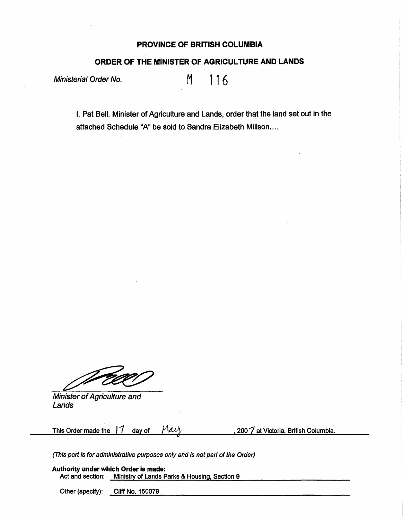## **PROVINCE OF BRITISH COLUMBIA**

## **ORDER OF THE MINISTER OF AGRICULTURE AND LANDS**

Ministerial Order No.  $M = 116$ 

I, Pat Bell, Minister of Agriculture and Lands, order that the land set out in the attached Schedule "A" be sold to Sandra Elizabeth Millson....

Minister of Agriculture and Lands

This Order made the  $\int_0^{\pi}$  day of  $\int_0^{\pi}$   $\int_0^{\pi}$  *f*  $\int_0^{\pi}$  at Victoria, British Columbia.

(This part is for administrative purposes only and is not part of the Order)

**Authority under which Order Is made:**  Act and section: Ministry of Lands Parks & Housing, Section 9

Other (specify): Cliff No. 150079